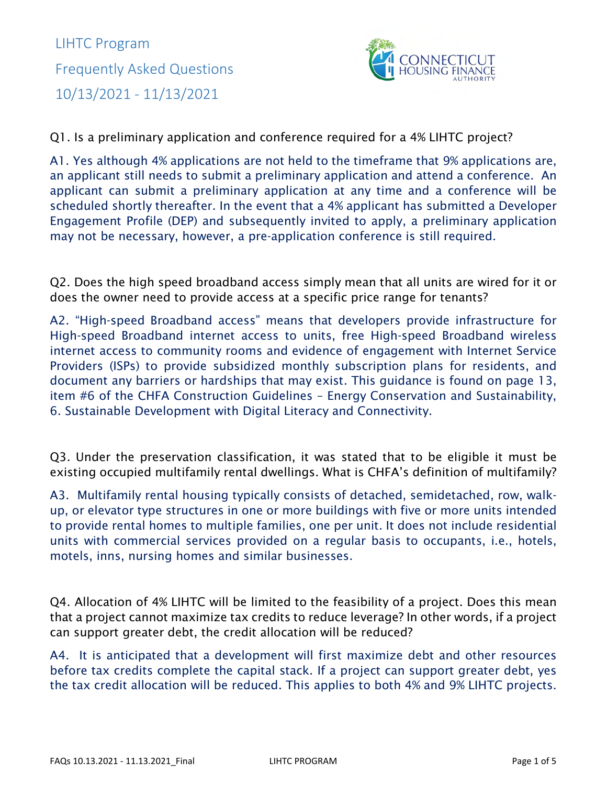

Q1. Is a preliminary application and conference required for a 4% LIHTC project?

A1. Yes although 4% applications are not held to the timeframe that 9% applications are, an applicant still needs to submit a preliminary application and attend a conference. An applicant can submit a preliminary application at any time and a conference will be scheduled shortly thereafter. In the event that a 4% applicant has submitted a Developer Engagement Profile (DEP) and subsequently invited to apply, a preliminary application may not be necessary, however, a pre-application conference is still required.

Q2. Does the high speed broadband access simply mean that all units are wired for it or does the owner need to provide access at a specific price range for tenants?

A2. "High-speed Broadband access" means that developers provide infrastructure for High-speed Broadband internet access to units, free High-speed Broadband wireless internet access to community rooms and evidence of engagement with Internet Service Providers (ISPs) to provide subsidized monthly subscription plans for residents, and document any barriers or hardships that may exist. This guidance is found on page 13, item #6 of the CHFA Construction Guidelines – Energy Conservation and Sustainability, 6. Sustainable Development with Digital Literacy and Connectivity.

Q3. Under the preservation classification, it was stated that to be eligible it must be existing occupied multifamily rental dwellings. What is CHFA's definition of multifamily?

A3. Multifamily rental housing typically consists of detached, semidetached, row, walkup, or elevator type structures in one or more buildings with five or more units intended to provide rental homes to multiple families, one per unit. It does not include residential units with commercial services provided on a regular basis to occupants, i.e., hotels, motels, inns, nursing homes and similar businesses.

Q4. Allocation of 4% LIHTC will be limited to the feasibility of a project. Does this mean that a project cannot maximize tax credits to reduce leverage? In other words, if a project can support greater debt, the credit allocation will be reduced?

A4. It is anticipated that a development will first maximize debt and other resources before tax credits complete the capital stack. If a project can support greater debt, yes the tax credit allocation will be reduced. This applies to both 4% and 9% LIHTC projects.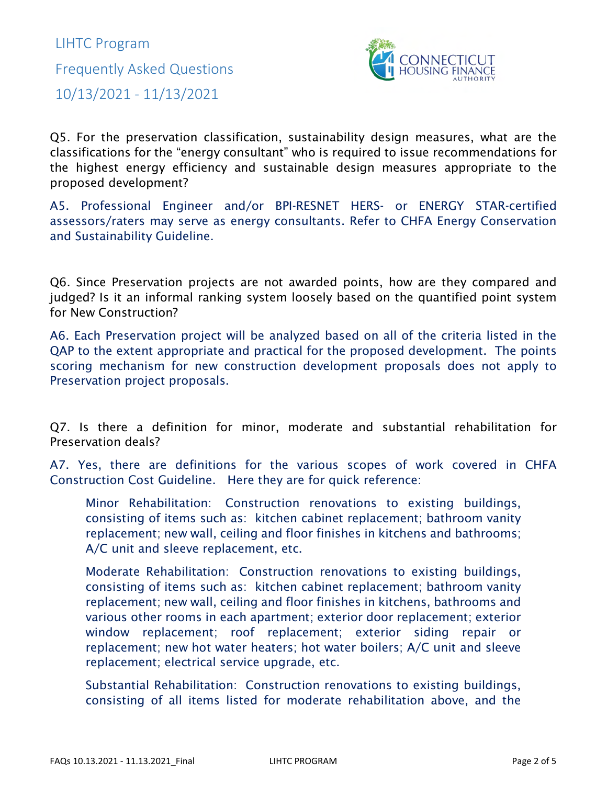

Q5. For the preservation classification, sustainability design measures, what are the classifications for the "energy consultant" who is required to issue recommendations for the highest energy efficiency and sustainable design measures appropriate to the proposed development?

A5. Professional Engineer and/or BPI-RESNET HERS- or ENERGY STAR-certified assessors/raters may serve as energy consultants. Refer to CHFA Energy Conservation and Sustainability Guideline.

Q6. Since Preservation projects are not awarded points, how are they compared and judged? Is it an informal ranking system loosely based on the quantified point system for New Construction?

A6. Each Preservation project will be analyzed based on all of the criteria listed in the QAP to the extent appropriate and practical for the proposed development. The points scoring mechanism for new construction development proposals does not apply to Preservation project proposals.

Q7. Is there a definition for minor, moderate and substantial rehabilitation for Preservation deals?

A7. Yes, there are definitions for the various scopes of work covered in CHFA Construction Cost Guideline. Here they are for quick reference:

Minor Rehabilitation: Construction renovations to existing buildings, consisting of items such as: kitchen cabinet replacement; bathroom vanity replacement; new wall, ceiling and floor finishes in kitchens and bathrooms; A/C unit and sleeve replacement, etc.

Moderate Rehabilitation: Construction renovations to existing buildings, consisting of items such as: kitchen cabinet replacement; bathroom vanity replacement; new wall, ceiling and floor finishes in kitchens, bathrooms and various other rooms in each apartment; exterior door replacement; exterior window replacement; roof replacement; exterior siding repair or replacement; new hot water heaters; hot water boilers; A/C unit and sleeve replacement; electrical service upgrade, etc.

Substantial Rehabilitation: Construction renovations to existing buildings, consisting of all items listed for moderate rehabilitation above, and the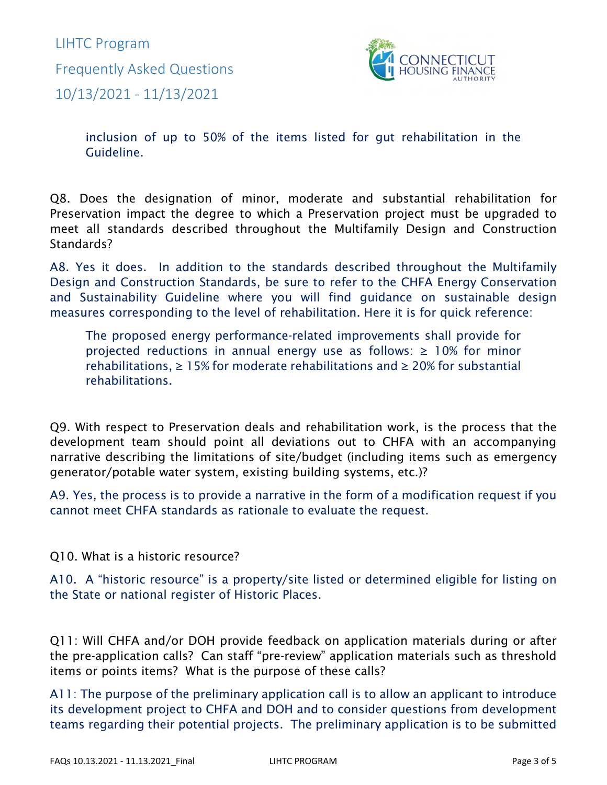

inclusion of up to 50% of the items listed for gut rehabilitation in the Guideline.

Q8. Does the designation of minor, moderate and substantial rehabilitation for Preservation impact the degree to which a Preservation project must be upgraded to meet all standards described throughout the Multifamily Design and Construction Standards?

A8. Yes it does. In addition to the standards described throughout the Multifamily Design and Construction Standards, be sure to refer to the CHFA Energy Conservation and Sustainability Guideline where you will find guidance on sustainable design measures corresponding to the level of rehabilitation. Here it is for quick reference:

The proposed energy performance-related improvements shall provide for projected reductions in annual energy use as follows:  $\geq 10\%$  for minor rehabilitations,  $\geq 15\%$  for moderate rehabilitations and  $\geq 20\%$  for substantial rehabilitations.

Q9. With respect to Preservation deals and rehabilitation work, is the process that the development team should point all deviations out to CHFA with an accompanying narrative describing the limitations of site/budget (including items such as emergency generator/potable water system, existing building systems, etc.)?

A9. Yes, the process is to provide a narrative in the form of a modification request if you cannot meet CHFA standards as rationale to evaluate the request.

Q10. What is a historic resource?

A10. A "historic resource" is a property/site listed or determined eligible for listing on the State or national register of Historic Places.

Q11: Will CHFA and/or DOH provide feedback on application materials during or after the pre-application calls? Can staff "pre-review" application materials such as threshold items or points items? What is the purpose of these calls?

A11: The purpose of the preliminary application call is to allow an applicant to introduce its development project to CHFA and DOH and to consider questions from development teams regarding their potential projects. The preliminary application is to be submitted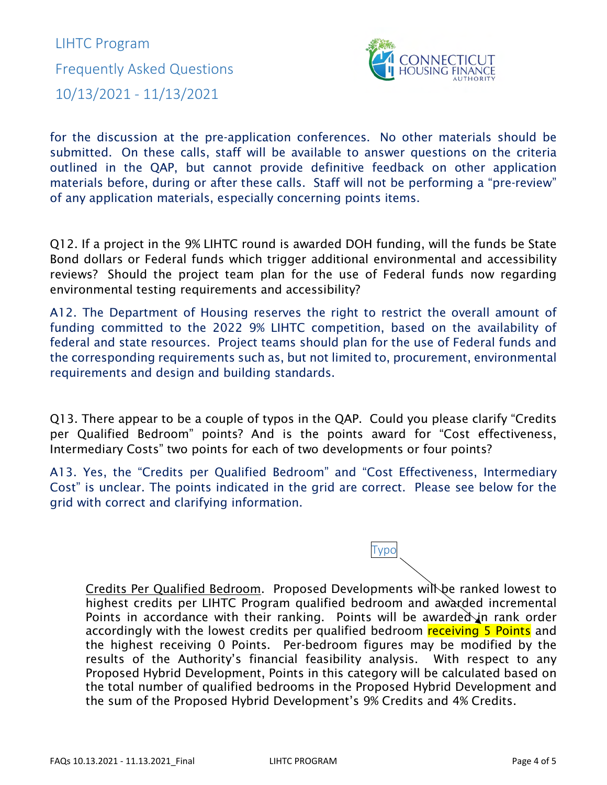

for the discussion at the pre-application conferences. No other materials should be submitted. On these calls, staff will be available to answer questions on the criteria outlined in the QAP, but cannot provide definitive feedback on other application materials before, during or after these calls. Staff will not be performing a "pre-review" of any application materials, especially concerning points items.

Q12. If a project in the 9% LIHTC round is awarded DOH funding, will the funds be State Bond dollars or Federal funds which trigger additional environmental and accessibility reviews? Should the project team plan for the use of Federal funds now regarding environmental testing requirements and accessibility?

A12. The Department of Housing reserves the right to restrict the overall amount of funding committed to the 2022 9% LIHTC competition, based on the availability of federal and state resources. Project teams should plan for the use of Federal funds and the corresponding requirements such as, but not limited to, procurement, environmental requirements and design and building standards.

Q13. There appear to be a couple of typos in the QAP. Could you please clarify "Credits per Qualified Bedroom" points? And is the points award for "Cost effectiveness, Intermediary Costs" two points for each of two developments or four points?

A13. Yes, the "Credits per Qualified Bedroom" and "Cost Effectiveness, Intermediary Cost" is unclear. The points indicated in the grid are correct. Please see below for the grid with correct and clarifying information.

Credits Per Qualified Bedroom. Proposed Developments will be ranked lowest to highest credits per LIHTC Program qualified bedroom and awarded incremental Points in accordance with their ranking. Points will be awarded in rank order accordingly with the lowest credits per qualified bedroom receiving 5 Points and the highest receiving 0 Points. Per-bedroom figures may be modified by the results of the Authority's financial feasibility analysis. With respect to any Proposed Hybrid Development, Points in this category will be calculated based on the total number of qualified bedrooms in the Proposed Hybrid Development and the sum of the Proposed Hybrid Development's 9% Credits and 4% Credits.

Typo